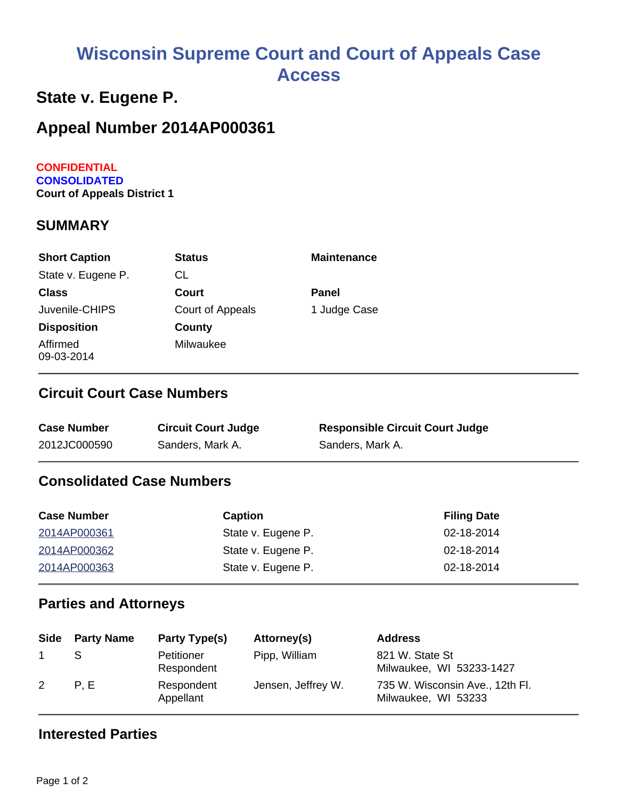# **Wisconsin Supreme Court and Court of Appeals Case Access**

## **State v. Eugene P.**

# **Appeal Number 2014AP000361**

#### **CONFIDENTIAL CONSOLIDATED Court of Appeals District 1**

#### **SUMMARY**

| <b>Short Caption</b>   | <b>Status</b>    | <b>Maintenance</b> |
|------------------------|------------------|--------------------|
| State v. Eugene P.     | CL               |                    |
| <b>Class</b>           | Court            | <b>Panel</b>       |
| Juvenile-CHIPS         | Court of Appeals | 1 Judge Case       |
| <b>Disposition</b>     | County           |                    |
| Affirmed<br>09-03-2014 | Milwaukee        |                    |

#### **Circuit Court Case Numbers**

| <b>Case Number</b> | <b>Circuit Court Judge</b> | <b>Responsible Circuit Court Judge</b> |
|--------------------|----------------------------|----------------------------------------|
| 2012JC000590       | Sanders, Mark A.           | Sanders, Mark A.                       |

#### **Consolidated Case Numbers**

| <b>Case Number</b> | <b>Caption</b>     | <b>Filing Date</b> |
|--------------------|--------------------|--------------------|
| 2014AP000361       | State v. Eugene P. | 02-18-2014         |
| 2014AP000362       | State v. Eugene P. | 02-18-2014         |
| 2014AP000363       | State v. Eugene P. | 02-18-2014         |

#### **Parties and Attorneys**

|   | Side Party Name | Party Type(s)            | Attorney(s)        | <b>Address</b>                                         |
|---|-----------------|--------------------------|--------------------|--------------------------------------------------------|
|   |                 | Petitioner<br>Respondent | Pipp, William      | 821 W. State St<br>Milwaukee, WI 53233-1427            |
| 2 | P.E             | Respondent<br>Appellant  | Jensen, Jeffrey W. | 735 W. Wisconsin Ave., 12th Fl.<br>Milwaukee, WI 53233 |

#### **Interested Parties**